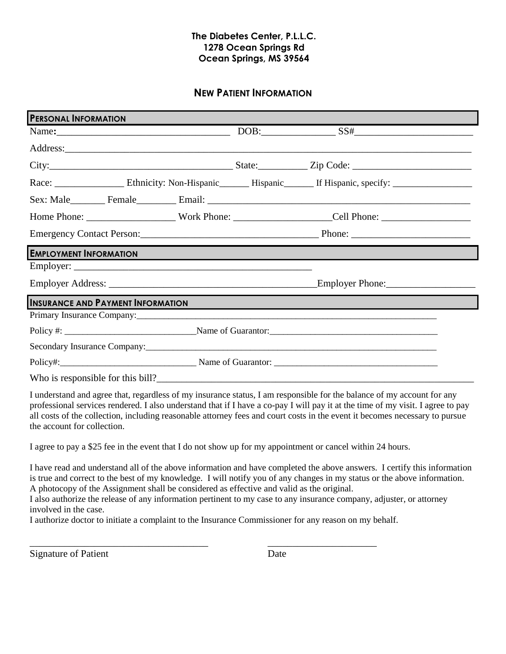### **The Diabetes Center, P.L.L.C. 1278 Ocean Springs Rd Ocean Springs, MS 39564**

## **NEW PATIENT INFORMATION**

| <b>PERSONAL INFORMATION</b>              |                                                             |
|------------------------------------------|-------------------------------------------------------------|
|                                          | $DOB:$ $SS#$ $SS#$                                          |
|                                          |                                                             |
|                                          |                                                             |
|                                          |                                                             |
|                                          |                                                             |
|                                          |                                                             |
|                                          |                                                             |
| <b>EMPLOYMENT INFORMATION</b>            | <u> 1989 - Johann Stoff, amerikansk politiker (d. 1989)</u> |
|                                          |                                                             |
|                                          |                                                             |
| <b>INSURANCE AND PAYMENT INFORMATION</b> |                                                             |
|                                          |                                                             |
|                                          |                                                             |
|                                          |                                                             |
|                                          |                                                             |
|                                          |                                                             |

I understand and agree that, regardless of my insurance status, I am responsible for the balance of my account for any professional services rendered. I also understand that if I have a co-pay I will pay it at the time of my visit. I agree to pay all costs of the collection, including reasonable attorney fees and court costs in the event it becomes necessary to pursue the account for collection.

I agree to pay a \$25 fee in the event that I do not show up for my appointment or cancel within 24 hours.

I have read and understand all of the above information and have completed the above answers. I certify this information is true and correct to the best of my knowledge. I will notify you of any changes in my status or the above information. A photocopy of the Assignment shall be considered as effective and valid as the original.

I also authorize the release of any information pertinent to my case to any insurance company, adjuster, or attorney involved in the case.

I authorize doctor to initiate a complaint to the Insurance Commissioner for any reason on my behalf.

\_\_\_\_\_\_\_\_\_\_\_\_\_\_\_\_\_\_\_\_\_\_\_\_\_\_\_\_\_\_\_\_\_\_\_\_ \_\_\_\_\_\_\_\_\_\_\_\_\_\_\_\_\_\_\_\_\_\_

Signature of Patient Date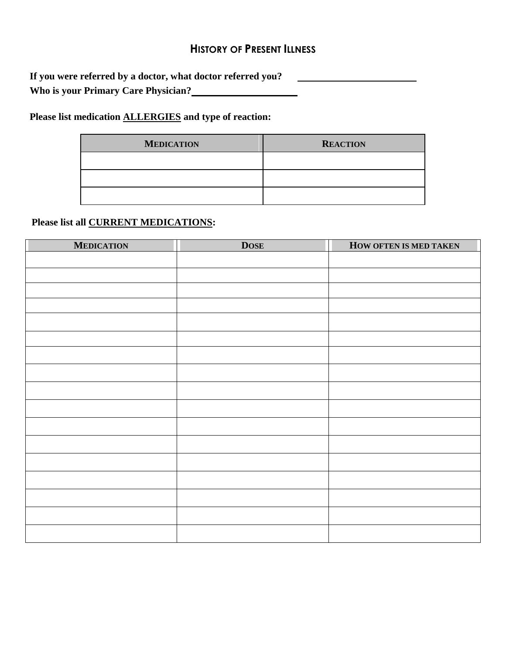# **HISTORY OF PRESENT ILLNESS**

**If you were referred by a doctor, what doctor referred you? Who is your Primary Care Physician?**

**Please list medication ALLERGIES and type of reaction:**

| <b>MEDICATION</b> | <b>REACTION</b> |
|-------------------|-----------------|
|                   |                 |
|                   |                 |
|                   |                 |

# **Please list all CURRENT MEDICATIONS:**

| <b>MEDICATION</b> | <b>DOSE</b> | HOW OFTEN IS MED TAKEN |
|-------------------|-------------|------------------------|
|                   |             |                        |
|                   |             |                        |
|                   |             |                        |
|                   |             |                        |
|                   |             |                        |
|                   |             |                        |
|                   |             |                        |
|                   |             |                        |
|                   |             |                        |
|                   |             |                        |
|                   |             |                        |
|                   |             |                        |
|                   |             |                        |
|                   |             |                        |
|                   |             |                        |
|                   |             |                        |
|                   |             |                        |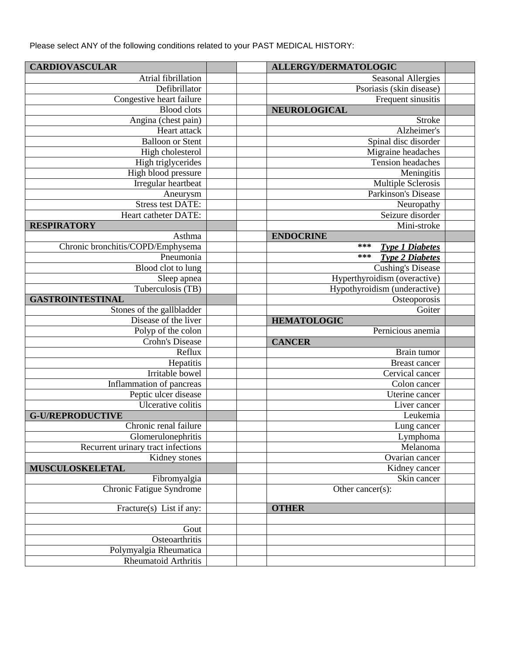Please select ANY of the following conditions related to your PAST MEDICAL HISTORY:

| <b>CARDIOVASCULAR</b>                                 | <b>ALLERGY/DERMATOLOGIC</b>     |  |
|-------------------------------------------------------|---------------------------------|--|
| Atrial fibrillation                                   | <b>Seasonal Allergies</b>       |  |
| Defibrillator                                         | Psoriasis (skin disease)        |  |
| Congestive heart failure                              | Frequent sinusitis              |  |
| <b>Blood</b> clots                                    | NEUROLOGICAL                    |  |
| Angina (chest pain)                                   | <b>Stroke</b>                   |  |
| Heart attack                                          | Alzheimer's                     |  |
| <b>Balloon or Stent</b>                               | Spinal disc disorder            |  |
| High cholesterol                                      | Migraine headaches              |  |
| High triglycerides                                    | Tension headaches               |  |
| High blood pressure                                   | Meningitis                      |  |
| Irregular heartbeat                                   | Multiple Sclerosis              |  |
| Aneurysm                                              | <b>Parkinson's Disease</b>      |  |
| <b>Stress test DATE:</b>                              | Neuropathy                      |  |
| Heart catheter DATE:                                  | Seizure disorder                |  |
| <b>RESPIRATORY</b>                                    | Mini-stroke                     |  |
| Asthma                                                | <b>ENDOCRINE</b>                |  |
| Chronic bronchitis/COPD/Emphysema                     | ***<br><b>Type 1 Diabetes</b>   |  |
| Pneumonia                                             | ***<br><b>Type 2 Diabetes</b>   |  |
| Blood clot to lung                                    | <b>Cushing's Disease</b>        |  |
| Sleep apnea                                           | Hyperthyroidism (overactive)    |  |
| Tuberculosis (TB)                                     | Hypothyroidism (underactive)    |  |
| <b>GASTROINTESTINAL</b>                               | Osteoporosis                    |  |
| Stones of the gallbladder                             | Goiter                          |  |
| Disease of the liver                                  | <b>HEMATOLOGIC</b>              |  |
| Polyp of the colon                                    | Pernicious anemia               |  |
| <b>Crohn's Disease</b>                                | <b>CANCER</b>                   |  |
|                                                       |                                 |  |
| Reflux                                                | Brain tumor                     |  |
|                                                       | <b>Breast cancer</b>            |  |
| Hepatitis<br>Irritable bowel                          |                                 |  |
|                                                       | Cervical cancer                 |  |
| Inflammation of pancreas                              | Colon cancer<br>Uterine cancer  |  |
| Peptic ulcer disease                                  |                                 |  |
| Ulcerative colitis<br><b>G-U/REPRODUCTIVE</b>         | Liver cancer<br>Leukemia        |  |
| Chronic renal failure                                 | Lung cancer                     |  |
| Glomerulonephritis                                    | Lymphoma                        |  |
| Recurrent urinary tract infections                    | Melanoma                        |  |
|                                                       |                                 |  |
| Kidney stones<br><b>MUSCULOSKELETAL</b>               | Ovarian cancer<br>Kidney cancer |  |
| Fibromyalgia                                          | Skin cancer                     |  |
| Chronic Fatigue Syndrome                              | Other cancer $(s)$ :            |  |
| Fracture(s) List if any:                              | <b>OTHER</b>                    |  |
|                                                       |                                 |  |
| Gout                                                  |                                 |  |
| Osteoarthritis                                        |                                 |  |
| Polymyalgia Rheumatica<br><b>Rheumatoid Arthritis</b> |                                 |  |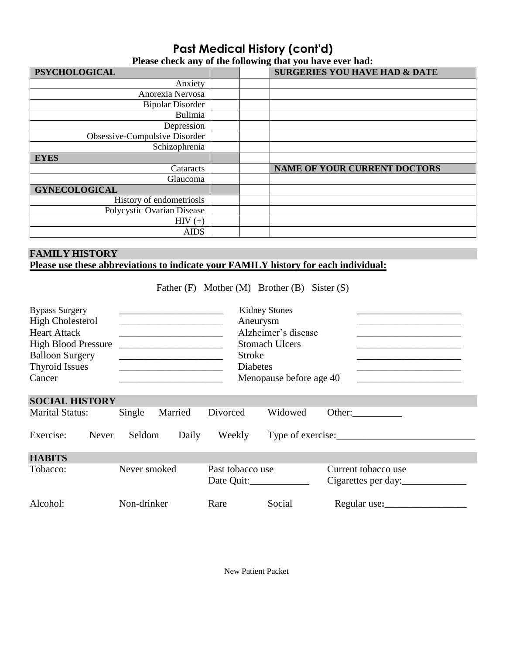# **Past Medical History (cont'd) Please check any of the following that you have ever had:**

| <b>PSYCHOLOGICAL</b>          | <b>SURGERIES YOU HAVE HAD &amp; DATE</b> |
|-------------------------------|------------------------------------------|
| Anxiety                       |                                          |
| Anorexia Nervosa              |                                          |
| <b>Bipolar Disorder</b>       |                                          |
| Bulimia                       |                                          |
| Depression                    |                                          |
| Obsessive-Compulsive Disorder |                                          |
| Schizophrenia                 |                                          |
| <b>EYES</b>                   |                                          |
| Cataracts                     | <b>NAME OF YOUR CURRENT DOCTORS</b>      |
| Glaucoma                      |                                          |
| <b>GYNECOLOGICAL</b>          |                                          |
| History of endometriosis      |                                          |
| Polycystic Ovarian Disease    |                                          |
| $HIV (+)$                     |                                          |
| <b>AIDS</b>                   |                                          |

# **FAMILY HISTORY Please use these abbreviations to indicate your FAMILY history for each individual:**

Father (F) Mother (M) Brother (B) Sister (S)

| <b>Bypass Surgery</b><br><b>High Cholesterol</b><br><b>Heart Attack</b><br><b>High Blood Pressure</b><br><b>Balloon Surgery</b><br><b>Thyroid Issues</b><br>Cancer | <u> 1980 - Jan Stein Harry Stein Harry Stein Harry Stein Harry Stein Harry Stein Harry Stein Harry Stein Harry St</u> | Aneurysm<br><b>Stroke</b><br><b>Diabetes</b> | <b>Kidney Stones</b><br>Alzheimer's disease<br><b>Stomach Ulcers</b><br>Menopause before age 40 |                                            |
|--------------------------------------------------------------------------------------------------------------------------------------------------------------------|-----------------------------------------------------------------------------------------------------------------------|----------------------------------------------|-------------------------------------------------------------------------------------------------|--------------------------------------------|
| <b>SOCIAL HISTORY</b>                                                                                                                                              |                                                                                                                       |                                              |                                                                                                 |                                            |
| <b>Marital Status:</b>                                                                                                                                             | Single<br>Married                                                                                                     | Divorced                                     | Widowed                                                                                         | Other: $\qquad \qquad$                     |
| Exercise:<br>Never                                                                                                                                                 | Seldom<br>Daily                                                                                                       | Weekly                                       |                                                                                                 | Type of exercise:                          |
| <b>HABITS</b>                                                                                                                                                      |                                                                                                                       |                                              |                                                                                                 |                                            |
| Tobacco:                                                                                                                                                           | Never smoked                                                                                                          | Past tobacco use                             |                                                                                                 | Current tobacco use<br>Cigarettes per day: |
| Alcohol:                                                                                                                                                           | Non-drinker                                                                                                           | Rare                                         | Social                                                                                          | Regular use:                               |

New Patient Packet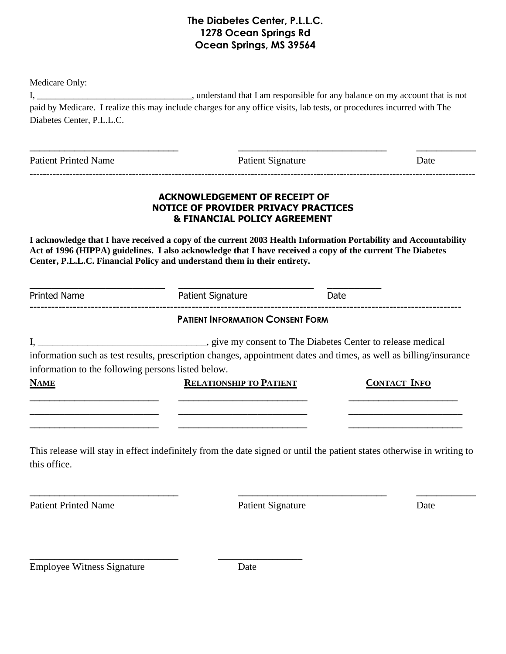# **The Diabetes Center, P.L.L.C. 1278 Ocean Springs Rd Ocean Springs, MS 39564**

Medicare Only:

I, \_\_\_\_\_\_\_\_\_\_\_\_\_\_\_\_\_\_\_\_\_\_\_\_\_\_\_\_\_\_\_\_\_\_, understand that I am responsible for any balance on my account that is not paid by Medicare. I realize this may include charges for any office visits, lab tests, or procedures incurred with The Diabetes Center, P.L.L.C.

| <b>Patient Printed Name</b>                                       |                                                                                                                                                                                                                                                                                                           | <b>Patient Signature</b> |                     |
|-------------------------------------------------------------------|-----------------------------------------------------------------------------------------------------------------------------------------------------------------------------------------------------------------------------------------------------------------------------------------------------------|--------------------------|---------------------|
|                                                                   | <b>ACKNOWLEDGEMENT OF RECEIPT OF</b><br><b>NOTICE OF PROVIDER PRIVACY PRACTICES</b><br><b>&amp; FINANCIAL POLICY AGREEMENT</b>                                                                                                                                                                            |                          |                     |
|                                                                   | I acknowledge that I have received a copy of the current 2003 Health Information Portability and Accountability<br>Act of 1996 (HIPPA) guidelines. I also acknowledge that I have received a copy of the current The Diabetes<br>Center, P.L.L.C. Financial Policy and understand them in their entirety. |                          |                     |
| <b>Printed Name</b>                                               | <b>Patient Signature</b>                                                                                                                                                                                                                                                                                  | Date                     |                     |
|                                                                   | <b>PATIENT INFORMATION CONSENT FORM</b>                                                                                                                                                                                                                                                                   |                          |                     |
| information to the following persons listed below.<br><b>NAME</b> | information such as test results, prescription changes, appointment dates and times, as well as billing/insurance<br><b>RELATIONSHIP TO PATIENT</b>                                                                                                                                                       |                          | <b>CONTACT INFO</b> |
|                                                                   | This release will stay in effect indefinitely from the date signed or until the patient states otherwise in writing to                                                                                                                                                                                    |                          |                     |
| this office.                                                      |                                                                                                                                                                                                                                                                                                           |                          |                     |
|                                                                   |                                                                                                                                                                                                                                                                                                           |                          |                     |

Employee Witness Signature Date

\_\_\_\_\_\_\_\_\_\_\_\_\_\_\_\_\_\_\_\_\_\_\_\_\_\_\_\_\_\_ \_\_\_\_\_\_\_\_\_\_\_\_\_\_\_\_\_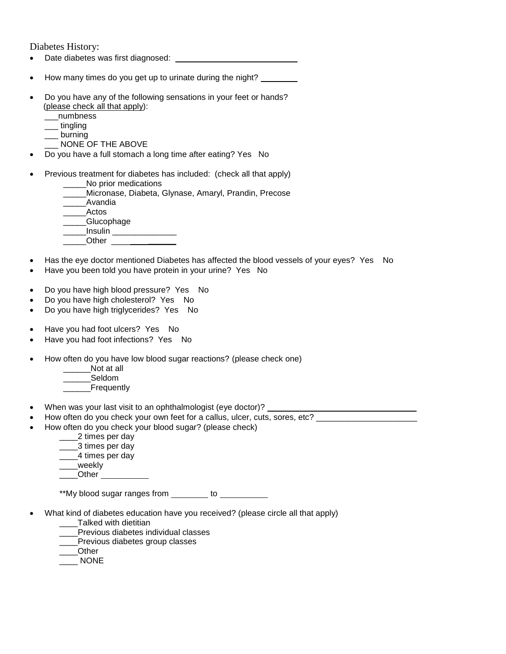Diabetes History:

- Date diabetes was first diagnosed:
- How many times do you get up to urinate during the night?
- Do you have any of the following sensations in your feet or hands? (please check all that apply):
	- \_\_\_numbness
	- \_\_\_ tingling
	- \_\_\_ burning
	- \_\_\_ NONE OF THE ABOVE
- Do you have a full stomach a long time after eating? Yes No
- Previous treatment for diabetes has included: (check all that apply)
	- No prior medications
	- \_\_\_\_\_Micronase, Diabeta, Glynase, Amaryl, Prandin, Precose
	- \_\_\_\_\_Avandia
	- \_\_\_\_\_Actos
	- \_\_\_\_\_Glucophage
	- \_\_\_\_\_Insulin \_\_\_\_\_\_\_\_\_\_\_\_\_\_
	- \_\_\_\_\_Other \_\_\_\_ **\_\_\_\_\_\_**
- Has the eye doctor mentioned Diabetes has affected the blood vessels of your eyes? Yes No
- Have you been told you have protein in your urine? Yes No
- Do you have high blood pressure? Yes No
- Do you have high cholesterol? Yes No
- Do you have high triglycerides? Yes No
- Have you had foot ulcers? Yes No
- Have you had foot infections? Yes No
- How often do you have low blood sugar reactions? (please check one)
	- Not at all
	- \_\_\_\_\_\_Seldom
	- **Frequently**
- When was your last visit to an ophthalmologist (eye doctor)?
- How often do you check your own feet for a callus, ulcer, cuts, sores, etc? \_\_\_\_\_\_\_\_\_\_\_\_\_\_\_\_\_\_\_\_\_\_\_
- How often do you check your blood sugar? (please check)
	- \_\_ 2 times per day
	- \_\_\_\_3 times per day
	- \_\_\_\_4 times per day
	- \_\_\_\_weekly
	- Other and the state of the state of the state of the state of the state of the state of the state of the state

\*\*My blood sugar ranges from \_\_\_\_\_\_\_\_ to \_\_\_\_\_\_\_\_\_

- What kind of diabetes education have you received? (please circle all that apply)
	- \_\_\_\_Talked with dietitian
	- Previous diabetes individual classes
	- Previous diabetes group classes
	- \_\_\_\_Other
	- \_\_\_\_ NONE